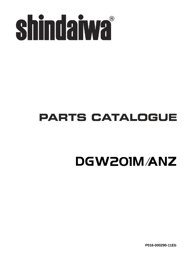

### **PARTS CATALOGUE**

## DGW201M/ANZ

**P016-000290-11Eb**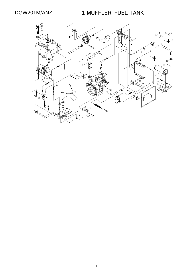DGW201M/ANZ 1 MUFFLER, FUEL TANK

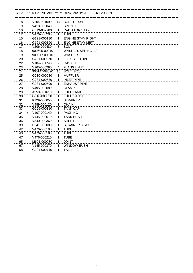|    |     | KEY LV PART NUMBE Q'TY DESCRIPTION |                |                          | <b>REMARKS</b> |
|----|-----|------------------------------------|----------------|--------------------------|----------------|
| 8  |     | V204-001090                        | 14             | <b>BOLT FT SW</b>        |                |
| 9  |     | V418-000040                        | $\overline{2}$ | <b>SPONGE</b>            |                |
| 10 |     | C519-002900                        | 1              | <b>RADIATOR STAY</b>     |                |
| 12 |     | V476-000200                        | 1              | TUBE                     |                |
| 15 |     | G121-000180                        | 1              | <b>ENGINE STAY RIGHT</b> |                |
| 16 |     | G121-000190                        | 1              | <b>ENGINE STAY LEFT</b>  |                |
| 17 |     | V206-000480                        | 8              | <b>BOLT</b>              |                |
| 18 |     | 900605-00010                       | 8              | WASHER, SPRING 10        |                |
| 19 |     | 900617-00010                       | 8              | <b>WASHER 10</b>         |                |
| 20 |     | G231-000570                        | 1              | <b>FLEXIBLE TUBE</b>     |                |
| 22 |     | V104-001740                        | $\overline{2}$ | <b>GASKET</b>            |                |
| 23 |     | V265-000290                        | 4              | <b>FLANGE NUT</b>        |                |
| 24 |     | 900147-08020                       | 15             | <b>BOLT 8*20</b>         |                |
| 25 |     | G230-000080                        | 1              | <b>MUFFLER</b>           |                |
| 26 |     | G231-000580                        | 1              | <b>INLET PIPE</b>        |                |
| 27 |     | G231-000590                        | 1              | EXHAUST PIPE             |                |
| 28 |     | V495-002080                        | 3              | <b>CLAMP</b>             |                |
| 29 |     | A350-001610                        | 1              | <b>FUEL TANK</b>         |                |
| 30 |     | G318-000030                        | 1              | <b>FUEL GAUGE</b>        |                |
| 31 |     | K329-000050                        | 1              | <b>STRAINER</b>          |                |
| 32 |     | V489-000120                        | $\mathbf{1}$   | <b>CHAIN</b>             |                |
| 33 |     | G255-000110                        | 1              | <b>TANK CAP</b>          |                |
| 34 | $+$ | V107-000140                        | 1              | <b>PACKING</b>           |                |
| 35 |     | V145-000510                        | 1              | <b>TANK BUSH</b>         |                |
| 36 |     | V540-000360                        | 1              | <b>SHEET</b>             |                |
| 39 |     | E241-000080                        | 1              | <b>STRAINER STAY</b>     |                |
| 42 |     | V476-000190                        | 1              | <b>TUBE</b>              |                |
| 43 |     | V476-000180                        | 1              | TUBE                     |                |
| 47 |     | V476-000210                        | 1              | <b>TUBE</b>              |                |
| 65 |     | M601-000080                        | $\mathbf 1$    | <b>JOINT</b>             |                |
| 67 |     | V145-000370                        | 1              | <b>WINDOW BUSH</b>       |                |
| 68 |     | G231-000710                        | 1              | <b>TAIL PIPE</b>         |                |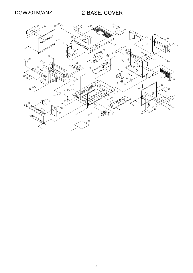DGW201M/ANZ 2 BASE, COVER

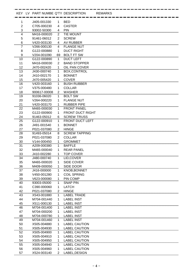|                |              |                         | KEY LV PART NUMBE Q'TY DESCRIPTION | <b>REMARKS</b> |
|----------------|--------------|-------------------------|------------------------------------|----------------|
| 1              | J405-001330  | 1                       | <b>BED</b>                         |                |
| $\overline{2}$ | C705-000230  | 4                       | <b>CASTER</b>                      |                |
| 3              | 93002-50300  | $\overline{\mathbf{4}}$ | <b>PIN</b>                         |                |
| 4              | M416-000020  | 2                       | TIE MOUNT                          |                |
| 5              | 91461-06012  | $\overline{2}$          | <b>SCREW</b>                       |                |
| 6              | V420-003130  | 4                       | AV RUBBER                          |                |
| 7              | V266-000130  | 4                       | <b>FLANGE NUT</b>                  |                |
| 8              | G122-000880  | 1                       | <b>DUCT RIGHT</b>                  |                |
| 9              | V204-001090  | 69                      | <b>BOLT FT SW</b>                  |                |
| 10             | G122-000890  | 1                       | <b>DUCT LEFT</b>                   |                |
| 11             | M416-000030  | $\overline{c}$          | <b>BAND STOPPER</b>                |                |
| 12             | J470-002420  | 1                       | OIL PAN COVER                      |                |
| 13             | J430-000740  | 1                       | BOX, CONTROL                       |                |
| 14             | J410-002170  | 1                       | <b>BONNET</b>                      |                |
| 15             | J470-005420  | 1                       | <b>COVER</b>                       |                |
| 16             | V420-003160  | 1                       | <b>BUSH RUBBER</b>                 |                |
| 17             | V375-000480  | 1                       | <b>COLLAR</b>                      |                |
| 18             | 900617-00008 | $\overline{2}$          | <b>WASHER</b>                      |                |
| 19             | 91036-06020  | 1                       | <b>BOLT SW</b>                     |                |
| 20             | V264-000220  | 1                       | <b>FLANGE NUT</b>                  |                |
| 21             | V420-003170  | 1                       | <b>RUBBER PIPE</b>                 |                |
| 22             | M465-000030  | 1                       | <b>FRONT PANEL</b>                 |                |
| 23             | G122-000900  | 1                       | <b>FRONT DUCT RIGHT</b>            |                |
| 24             | 91463-05012  | 6                       | <b>SCREW TRUSS</b>                 |                |
| 25             | G122-000910  | 1                       | <b>FRONT DUCT LEFT</b>             |                |
| 26             | J491-001540  | 1                       | <b>BONNET</b>                      |                |
| 27             | P021-037080  | $\overline{2}$          | <b>HINGE</b>                       |                |
| 28             | 91493-05014  | 8                       | <b>SCREW TAPPING</b>               |                |
| 29             | P021-037080  | $\overline{2}$          | <b>COLLAR</b>                      |                |
| 30             | V144-000450  | 1                       | <b>GROMMET</b>                     |                |
| 31             | A209-000380  | 1                       | <b>BAFFLE</b>                      |                |
| 32             | M465-000040  | 1                       | <b>REAR PANEL</b>                  |                |
| 33             | J410-002280  | 1                       | <b>TOP COVER</b>                   |                |
| <br>34         | J480-000740  | 1                       | LID, COVER                         |                |
| 35             | M465-000020  | $\mathbf{1}$            | SIDE COVER                         |                |
| 36             | M409-000050  | $\mathbf{1}$            | SIDE DOOR                          |                |
| 37             | J416-000000  | 1                       | <b>KNOB, BONNET</b>                |                |
| 38             | V450-001280  | 1                       | <b>COIL SPRING</b>                 |                |
| 39             | V623-000080  | 1                       | <b>PIN COMP</b>                    |                |
| 40             | 93003-05000  | 1                       | <b>SNAP PIN</b>                    |                |
| 41             | C390-000060  | 1                       | <b>LATCH</b>                       |                |
| 42             | P021-037080  | $\overline{2}$          | <b>HINGE</b>                       |                |
| 43             | X543-001880  | 1                       | <b>LABEL TRADE</b>                 |                |
| 44             | M704-001440  | $\mathbf{1}$            | <b>LABEL INST</b>                  |                |
| 45             | X511-000130  | $\mathbf 1$             | <b>LABEL INST</b>                  |                |
| 46             | M704-001400  | 1.                      | <b>LABEL INST</b>                  |                |
| 47             | M704-000200  | $\mathbf 1$             | <b>LABEL INST</b>                  |                |
| 48             | M704-000780  | 1                       | <b>LABEL INST</b>                  |                |
| 49             | M704-001460  | 1                       | <b>LABEL INST</b>                  |                |
| 50             | X505-004880  | 1                       | <b>LABEL CAUTION</b>               |                |
| 51             | X505-004930  | 1                       | <b>LABEL CAUTION</b>               |                |
| 52             | X505-004900  | 1                       | <b>LABEL CAUTION</b>               |                |
| 53             | X505-004910  | 1                       | <b>LABEL CAUTION</b>               |                |
| 54             | X505-004950  | 1                       | <b>LABEL CAUTION</b>               |                |
| 55             | X505-004940  | 1                       | <b>LABEL CAUTION</b>               |                |
| 56             | X505-004960  | 1                       | <b>LABEL CAUTION</b>               |                |
| 57             | X524-003140  | $\overline{c}$          | LABEL.DESIGN                       |                |
|                |              |                         |                                    |                |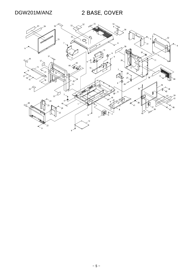DGW201M/ANZ 2 BASE, COVER

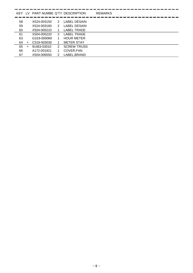| KFY - |           |             |               | LV PART NUMBE Q'TY DESCRIPTION | <b>REMARKS</b> |
|-------|-----------|-------------|---------------|--------------------------------|----------------|
|       |           |             |               |                                |                |
| 58    |           | X524-003150 | 2             | <b>LABEL DESAIN</b>            |                |
| 59    |           | X524-003160 | 2             | <b>LABEL DESAIN</b>            |                |
| 60    |           | X504-005210 |               | LABEL TRADE                    |                |
| 61    |           | X504-005220 | $\mathcal{P}$ | LABEL TRADE                    |                |
| 63    |           | G319-000060 | 1             | <b>HOUR METER</b>              |                |
| 64    | $\pm$     | C519-003030 |               | <b>METER STAY</b>              |                |
| 65    | $\ddot{}$ | 91463-03010 | 2             | <b>SCREW TRUSS</b>             |                |
| 66    |           | A172-001921 | 1             | COVER, FAN                     |                |
| 67    |           | X504-006550 | $\mathcal{P}$ | LABEL, BRAND                   |                |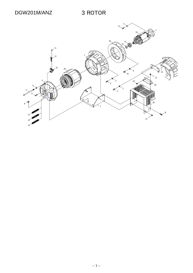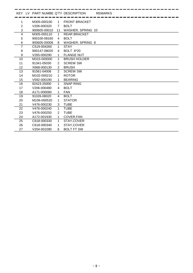|                |              |                | KEY LV PART NUMBE Q'TY DESCRIPTION | <b>REMARKS</b> |
|----------------|--------------|----------------|------------------------------------|----------------|
|                | M305-000100  | $\mathbf 1$    | <b>FRONT BRACKET</b>               |                |
| $\overline{2}$ | V206-000320  | $\overline{7}$ | <b>BOLT</b>                        |                |
| 3              | 900605-00010 | 11             | <b>WASHER, SPRING 10</b>           |                |
| 4              | M305-000110  | 1              | <b>REAR BRACKET</b>                |                |
| 5              | 900100-08160 | 4              | <b>BOLT</b>                        |                |
| 6              | 900605-00008 | 8              | <b>WASHER, SPRING 8</b>            |                |
| 7              | C519-004260  | $\mathbf 1$    | <b>STAY</b>                        |                |
| 8              | 900147-08020 | 4              | <b>BOLT 8*20</b>                   |                |
| 9<br>.         | V265-000290  | $\mathbf{1}$   | <b>FLANGE NUT</b>                  |                |
| 10             | M315-000000  | 1              | <b>BRUSH HOLDER</b>                |                |
| 11             | 91341-05030  | $\overline{2}$ | <b>SCREW SW</b>                    |                |
| 12             | X668-000130  | 2              | <b>BRUSH</b>                       |                |
| 13             | 91561-04008  | 2              | <b>SCREW SW</b>                    |                |
| 14             | M102-000210  | 1              | <b>ROTOR</b>                       |                |
| 15             | V592-000190  | 1              | <b>BEARING</b>                     |                |
| 16             | 92423-25000  | 1              | <b>SNAP RING</b>                   |                |
| 17             | V206-000480  | 4              | <b>BOLT</b>                        |                |
| 18             | A171-000080  | $\mathbf{1}$   | <b>FAN</b>                         |                |
| 19             | 91026-08020  | 4              | <b>BOLT</b>                        |                |
| 20             | M106-000520  | 1              | <b>STATOR</b>                      |                |
| 21             | V476-000230  | 3              | <b>TUBE</b>                        |                |
| 22             | V476-000240  | 1              | <b>TUBE</b>                        |                |
| 23             | V476-000250  | 2              | <b>TUBE</b>                        |                |
| 24             | A172-001930  | $\mathbf{1}$   | COVER, FAN                         |                |
| 25             | C618-000330  | 1              | STAY, COVER                        |                |
| 26             | C618-000340  | 1              | STAY, COVER                        |                |
| 27             | V204-001090  | 6              | <b>BOLT FT SW</b>                  |                |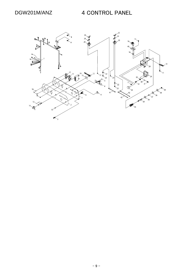#### DGW201M/ANZ 4 CONTROL PANEL

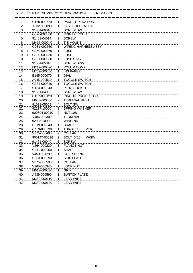|                |     |                          |                | KEY LV PART NUMBE Q'TY DESCRIPTION | <b>REMARKS</b> |
|----------------|-----|--------------------------|----------------|------------------------------------|----------------|
| 1              |     | C160-000670              | 1              | PANEL, OPERATION                   |                |
| $\overline{2}$ |     | X532-002890              | 1              | LABEL, OPERATION                   |                |
| 3              |     | 91564-06016              | 6              | <b>SCREW SW</b>                    |                |
| 4              |     | G370-000580              | 1              | <b>PRINT CIRCUIT</b>               |                |
| 5              |     | 91461-04014              | 2              | <b>SCREW</b>                       |                |
| 6              |     | M416-000040              | 1              | <b>TIE MOUNT</b>                   |                |
| 7              |     | G031-002560              | 1              | <b>WIRING HARNESS ASSY</b>         |                |
| 8              | $+$ | G350-000260              | 1              | <b>FUSE</b>                        |                |
| 9              | $+$ | G350-000230              | 1              | <b>FUSE</b>                        |                |
| 10             |     | G391-000080              | 1              | <b>FUSE STAY</b>                   |                |
| 11             |     | 91564-05010              | 5              | <b>SCREW SPW</b>                   |                |
| 12             |     | M112-000020              | $\mathbf{1}$   | <b>VOLUM COMP</b>                  |                |
| 13             |     | M702-000050              | 1              | <b>INS PAPER</b>                   |                |
| 14             |     | E145-000070              | 1              | <b>DIAL</b>                        |                |
| 15             |     | A045-000510              | $\mathbf 1$    | <b>TOGGLE SWITCH</b>               |                |
| 16             |     | G334-000840              | 1              | <b>TOGGLE SWITCH</b>               |                |
| 17             |     | C154-000240              | $\overline{2}$ | <b>PLUG SOCKET</b>                 |                |
| 18             |     | 91561-04006              | 6              | <b>SCREW SW</b>                    |                |
| 19             |     | C <sub>137</sub> -000120 | 1              | <b>CIRCUIT PROTECTOR</b>           |                |
| 20             |     | M603-000000              | $\overline{2}$ | <b>TERMINAL REST</b>               |                |
| 21             |     | 91031-05008              | 4              | <b>BOLT SW</b>                     |                |
| 22             |     | 92237-10000              | 2              | <b>SPRING WASHER</b>               |                |
| 23             |     | 900504-00010             | $\overline{2}$ | <b>NUT 10B</b>                     |                |
| 24             |     | V486-000300              | $\overline{2}$ | <b>TERMINAL</b>                    |                |
| 25             |     | 92085-10000              | 2              | <b>WING NUT</b>                    |                |
| 28             |     | C519-002940              | 1              | <b>BRACKET</b>                     |                |
| 29             |     | C453-000390              | 1              | THROTTLE LEVER                     |                |
| 30             |     | V375-000490              | 2              | <b>COLLAR</b>                      |                |
| 31             |     | 900147-05016             | $\overline{2}$ | <b>BOLT 5*16</b><br>W/SW           |                |
| $\frac{32}{5}$ |     | 91461-06040              | 1              | <b>SCREW</b>                       |                |
| 33             |     | V264-000220              | 1              | <b>FLANGE NUT</b>                  |                |
| 34             |     | C451-000050              | 1              | <b>SHAFT</b>                       |                |
| 35             |     | V450-001290              | 1              | <b>COIL SPRING</b>                 |                |
| 36             |     | C603-000290              | 3              | <b>SIDE PLATE</b>                  |                |
| 37             |     | V375-000500              | 1              | <b>COLLAR</b>                      |                |
| 38             |     | V265-000340              | 1              | <b>LOCK NUT</b>                    |                |
| 39             |     | M613-000030              | 1              | <b>GRIP</b>                        |                |
| 40             |     | A439-000590              | 1              | <b>SWITCH PLATE</b>                |                |
| 41             |     | M380-000110              | $\mathbf{1}$   | <b>LEAD WIRE</b>                   |                |
| 42             |     | M380-000120              | $\overline{2}$ | <b>LEAD WIRE</b>                   |                |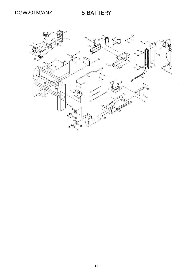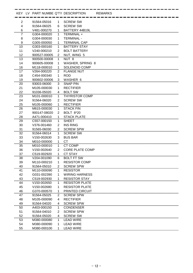|                |              |                | KEY LV PART NUMBE Q'TY DESCRIPTION | <b>REMARKS</b> |
|----------------|--------------|----------------|------------------------------------|----------------|
| $\overline{2}$ | 91564-05016  | 1              | <b>SCREW SW</b>                    |                |
| 4              | 91564-06025  | 6              | <b>SCREW SW</b>                    |                |
| 6              | V481-000270  | 1              | BATTERY 44B19L                     |                |
| 7              | G304-000020  | 1              | TERMINAL +                         |                |
| 8              | G304-000030  | 1              | <b>TERMINAL -</b>                  |                |
| 9              | G305-000050  | 1              | <b>TERMINAL CAP</b>                |                |
| 10             | G303-000160  | 1              | <b>BATTERY STAY</b>                |                |
| 11             | V240-000210  | $\overline{2}$ | <b>BOLT BATTERY</b>                |                |
| 12             | 900527-00005 | 2              | NUT, WING 5                        |                |
| 13             | 900500-00008 | 1              | NUT <sub>8</sub>                   |                |
| 14             | 900605-00008 | 1              | <b>WASHER, SPRING 8</b>            |                |
| 16             | M118-000010  | $\mathbf{1}$   | <b>SOLENOID COMP</b>               |                |
| 17             | V264-000220  | 2              | <b>FLANGE NUT</b>                  |                |
| 18             | C454-000340  | 1              | <b>ROD</b>                         |                |
| 19             | 900602-00006 | 3              | WASHER 6                           |                |
| 20             | 93003-06000  | 3              | <b>SNAP PIN</b>                    |                |
| 21             | M105-000030  | 1              | <b>RECTIFIER</b>                   |                |
| 22             | 91036-05020  | 4              | <b>BOLT SW</b>                     |                |
| 23             | M101-000010  | 1              | <b>THYRISTOR COMP</b>              |                |
| 24             | 91564-06020  | $\overline{2}$ | <b>SCREW SW</b>                    |                |
| 25             | M105-000060  | 1              | <b>RECTIFIER</b>                   |                |
| 26             | M615-000030  | 1              | <b>STACK FIN</b>                   |                |
| 27             | 900147-08020 | $\overline{2}$ | <b>BOLT 8*20</b>                   |                |
| 28             | A471-000410  | 1              | <b>STACK PLATE</b>                 |                |
| 29             | C557-000150  | 1              | <b>SHEET</b>                       |                |
| 30             | V376-001460  | $\overline{2}$ | <b>INS RING</b>                    |                |
| 31             | 91565-06030  | 2              | <b>SCREW SPW</b>                   |                |
| 32             | 91564-06014  | 1              | <b>SCREW SW</b>                    |                |
| 33             | V150-002630  | 3              | <b>BUS BAR</b>                     |                |
| 34             | M010-000000  | $\mathbf{1}$   | СT                                 |                |
| 35             | M010-000010  | 1              | CT COMP                            |                |
| 36             | V150-002640  | $\overline{2}$ | <b>CORE PLATE COMP</b>             |                |
| 37<br>         | C519-002920  | 1.             | CT STAY                            |                |
| 38             | V204-001090  | 6              | <b>BOLT FT SW</b>                  |                |
| 39             | M110-000210  | 1              | <b>RESISTOR COMP</b>               |                |
| 40             | 91564-05010  | $\overline{c}$ | <b>SCREW SPW</b>                   |                |
| 41             | M110-000090  | 1              | <b>RESISTOR</b>                    |                |
| 42             | G031-002390  | 1              | <b>WIRING HARNESS</b>              |                |
| 43             | C519-002930  | 1              | <b>RESISTOR STAY</b>               |                |
| 44             | V150-002650  | 1              | <b>RESISTOR PLATE</b>              |                |
| 45             | V150-002680  | 1              | <b>RESISTOR PLATE</b>              |                |
| 46             | G370-000570  | 1              | PRINTED CIRCUIT                    |                |
| 47             | 91564-05025  | 2              | <b>SCREW SPW</b>                   |                |
| 48             | M105-000090  | 4              | <b>RECTIFIER</b>                   |                |
| 49             | 91564-04020  | 4              | <b>SCREW SPW</b>                   |                |
| 50             | A403-000150  | 1              | CONDENSER                          |                |
| 51             | 91564-04010  | $\overline{2}$ | <b>SCREW SPW</b>                   |                |
| 52             | 91564-05020  | 4              | <b>SCREW SW</b>                    |                |
| 53             | M380-000080  | 1              | <b>LEAD WIRE</b>                   |                |
| 54             | M380-000090  | 1              | <b>LEAD WIRE</b>                   |                |
| 55             | M380-000100  | $\mathbf 1$    | <b>LEAD WIRE</b>                   |                |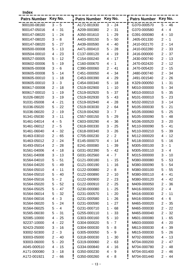**Index**

| G370-000570<br>900100-08160<br>$3 - 5$<br>A172-001930<br>$3 - 24$<br>$5 - 46$<br>$4 - 31$<br>A209-000380<br>$2 - 31$<br>G370-000580<br>900147-05016<br>$4 - 4$<br>24<br>A350-001610<br>-29<br>G391-000080<br>900147-08020<br>$\mathbf{1}$<br>$\mathbf{1}$<br>4 -<br>10<br>$\blacksquare$<br>$\sim$<br>$-8$<br>$-50$<br>J405-001330<br>$2 -$<br>900147-08020<br>3<br>A403-000150<br>5<br>$\overline{1}$<br>900147-08020<br>$5 - 27$<br>A439-000590<br>40<br>J410-002170<br>$2 -$<br>4<br>14<br>$\blacksquare$<br>J410-002280<br>$2 -$<br>33<br>900500-00008<br>5<br>$-13$<br>A471-000410<br>5<br>28<br>$\overline{\phantom{a}}$<br>C137-000120<br>19<br>J416-000000<br>37<br>900504-00010<br>$\overline{4}$<br>$-23$<br>4<br>$2 -$<br>$\overline{\phantom{a}}$<br>C154-000240<br>J430-000740<br>13<br>900527-00005<br>$-12$<br>$\overline{4}$<br>17<br>$2 -$<br>5<br>$\overline{\phantom{a}}$<br>C160-000670<br>J470-002420<br>900602-00006<br>5<br>19<br>4<br>$\mathbf{1}$<br>$\overline{2}$<br>12<br>$\sim$<br>$\overline{\phantom{a}}$<br>$\blacksquare$<br>C390-000060<br>15<br>900605-00008<br>3<br>6<br>$\overline{2}$<br>41<br>J470-005420<br>$\overline{2}$<br>$\overline{\phantom{a}}$<br>$\overline{\phantom{a}}$<br>$\overline{\phantom{a}}$<br>900605-00008<br>C451-000050<br>34<br>J480-000740<br>$\overline{2}$<br>34<br>5<br>14<br>4<br>$\blacksquare$<br>$\blacksquare$<br>$\blacksquare$<br>900605-00010<br>18<br>C453-000390<br>29<br>J491-001540<br>$2 -$<br>26<br>1<br>4<br>$\blacksquare$<br>$\overline{\phantom{a}}$<br>C454-000340<br>31<br>900605-00010<br>3<br>3<br>5<br>18<br>K329-000050<br>$\mathbf{1}$<br>$\blacksquare$<br>$\sim$<br>$\blacksquare$<br>900617-00008<br>C519-002900<br>M010-000000<br>$\overline{2}$<br>18<br>$\mathbf{1}$<br>10<br>5<br>34<br>$\sim$<br>$\overline{\phantom{a}}$<br>$\blacksquare$<br>C519-002920<br>37<br>M010-000010<br>900617-00010<br>19<br>5<br>5<br>35<br>1<br>$\blacksquare$<br>$\blacksquare$<br>$\overline{\phantom{a}}$<br>C519-002930<br>M101-000010<br>91026-08020<br>3<br>19<br>5<br>$-43$<br>5<br>23<br>$\overline{\phantom{a}}$<br>$\blacksquare$<br>C519-002940<br>28<br>91031-05008<br>21<br>4 -<br>M102-000210<br>$3 -$<br>14<br>4 -<br>91036-05020<br>22<br>C519-003030<br>64<br>M105-000030<br>5<br>$\overline{2}$<br>5<br>21<br>$\overline{\phantom{a}}$<br>$\overline{\phantom{a}}$<br>$\sim$<br>C519-004260<br>3<br>M105-000060<br>91036-06020<br>$2 - 19$<br>$\overline{7}$<br>5<br>25<br>$\blacksquare$<br>$\overline{\phantom{a}}$<br>M105-000090<br>91341-05030<br>3<br>$-11$<br>C557-000150<br>5<br>-29<br>5<br>48<br>$\overline{\phantom{a}}$<br>$\blacksquare$<br>C603-000290<br>36<br>M106-000520<br>$3 -$<br>91461-04014<br>$\overline{4}$<br>20<br>4 -<br>-5<br>$\blacksquare$<br>C618-000330<br>25<br>M110-000090<br>91461-06012<br>$\overline{2}$<br>5<br>3<br>5<br>41<br>$\blacksquare$<br>$\blacksquare$<br>$\overline{\phantom{a}}$<br>C618-000340<br>3<br>26<br>M110-000210<br>91461-06040<br>32<br>5<br>39<br>4<br>$\overline{\phantom{a}}$<br>$\overline{\phantom{a}}$<br>$\sim$<br>C705-000230<br>$\overline{2}$<br>M112-000020<br>12<br>91463-03010<br>$2 - 65$<br>$\overline{2}$<br>4 -<br>$\blacksquare$<br>M118-000010<br>91463-05012<br>$2 - 24$<br>E145-000070<br>$4 - 14$<br>5<br>16<br>$\overline{\phantom{a}}$<br>$2 - 28$<br>E241-000080<br>M305-000100<br>3<br>91493-05014<br>1<br>$-39$<br>$\overline{1}$<br>$\blacksquare$<br>M305-000110<br>$3 - 4$<br>91561-04006<br>$4 - 18$<br>G031-002390<br>5<br>$-42$<br>3<br>$-13$<br>$\overline{7}$<br>3<br>91561-04008<br>G031-002560<br>4<br>M315-000000<br>10<br>$\blacksquare$<br>$\overline{\phantom{a}}$<br>$5 -$<br>51<br>G121-000180<br>M380-000080<br>$5 - 53$<br>91564-04010<br>$\mathbf 1$<br>$-15$<br>G121-000190<br>M380-000090<br>91564-04020<br>$5 - 49$<br>$1 - 16$<br>$5 - 54$<br>91564-05010<br>G122-000880<br>$2 - 8$<br>M380-000100<br>$5 - 55$<br>$4 - 11$<br>G122-000890<br>$2 - 10$<br>M380-000110<br>$4 - 41$<br>91564-05010<br>$5 - 40$<br>91564-05016<br>$5 - 2$<br>G122-000900<br>$2 - 23$<br>M380-000120<br>$4 - 42$<br>91564-05020<br>G122-000910<br>$2 - 25$<br>M409-000050<br>$2 - 36$<br>$5 - 52$<br>G230-000080<br>$1 - 25$<br>M416-000020<br>$2 - 4$<br>91564-05025<br>$5 - 47$<br>91564-06014<br>G231-000570<br>$1 - 20$<br>M416-000030<br>$2 - 11$<br>$5 - 32$<br>M416-000040<br>91564-06016<br>$4 - 3$<br>G231-000580<br>$1 - 26$<br>$4 - 6$<br>G231-000590<br>$-27$<br>M465-000020<br>91564-06020<br>$5 - 24$<br>1.<br>$2 - 35$<br>91564-06025<br>G231-000710<br>M465-000030<br>$5 - 4$<br>$\mathbf 1$<br>$-68$<br>$2 - 22$<br>91565-06030<br>$5 - 31$<br>G255-000110<br>$-33$<br>M465-000040<br>$2 - 32$<br>$\mathbf 1$<br>92085-10000<br>G303-000160<br>$5 - 10$<br>M601-000080<br>$4 - 25$<br>$1 - 65$<br>92237-10000<br>G304-000020<br>$5 - 7$<br>M603-000000<br>$4 - 22$<br>4 -<br>20<br>G304-000030<br>92423-25000<br>5<br>M613-000030<br>39<br>$3 - 16$<br>- 8<br>4 -<br>G305-000050<br>$5 - 9$<br>M615-000030<br>93002-50300<br>$2 - 3$<br>$5 - 26$ | Patrs Number Key No. | Patrs Number Key No. | <b>Patrs Number</b> | Key No. |
|----------------------------------------------------------------------------------------------------------------------------------------------------------------------------------------------------------------------------------------------------------------------------------------------------------------------------------------------------------------------------------------------------------------------------------------------------------------------------------------------------------------------------------------------------------------------------------------------------------------------------------------------------------------------------------------------------------------------------------------------------------------------------------------------------------------------------------------------------------------------------------------------------------------------------------------------------------------------------------------------------------------------------------------------------------------------------------------------------------------------------------------------------------------------------------------------------------------------------------------------------------------------------------------------------------------------------------------------------------------------------------------------------------------------------------------------------------------------------------------------------------------------------------------------------------------------------------------------------------------------------------------------------------------------------------------------------------------------------------------------------------------------------------------------------------------------------------------------------------------------------------------------------------------------------------------------------------------------------------------------------------------------------------------------------------------------------------------------------------------------------------------------------------------------------------------------------------------------------------------------------------------------------------------------------------------------------------------------------------------------------------------------------------------------------------------------------------------------------------------------------------------------------------------------------------------------------------------------------------------------------------------------------------------------------------------------------------------------------------------------------------------------------------------------------------------------------------------------------------------------------------------------------------------------------------------------------------------------------------------------------------------------------------------------------------------------------------------------------------------------------------------------------------------------------------------------------------------------------------------------------------------------------------------------------------------------------------------------------------------------------------------------------------------------------------------------------------------------------------------------------------------------------------------------------------------------------------------------------------------------------------------------------------------------------------------------------------------------------------------------------------------------------------------------------------------------------------------------------------------------------------------------------------------------------------------------------------------------------------------------------------------------------------------------------------------------------------------------------------------------------------------------------------------------------------------------------------------------------------------------------------------------------------------------------------------------------------------------------------------------------------------------------------------------------------------------------------------------------------------------------------------------------------------------------------------------------------------------------------------------------------------------------------------------------------------------------------------------------------------------------------------------------------------------------------------------------------------------------------------------------------------------------------------------------------------------------------------------------------------------------------------------------------------------------------------|----------------------|----------------------|---------------------|---------|
|                                                                                                                                                                                                                                                                                                                                                                                                                                                                                                                                                                                                                                                                                                                                                                                                                                                                                                                                                                                                                                                                                                                                                                                                                                                                                                                                                                                                                                                                                                                                                                                                                                                                                                                                                                                                                                                                                                                                                                                                                                                                                                                                                                                                                                                                                                                                                                                                                                                                                                                                                                                                                                                                                                                                                                                                                                                                                                                                                                                                                                                                                                                                                                                                                                                                                                                                                                                                                                                                                                                                                                                                                                                                                                                                                                                                                                                                                                                                                                                                                                                                                                                                                                                                                                                                                                                                                                                                                                                                                                                                                                                                                                                                                                                                                                                                                                                                                                                                                                                                                                                                |                      |                      |                     |         |
|                                                                                                                                                                                                                                                                                                                                                                                                                                                                                                                                                                                                                                                                                                                                                                                                                                                                                                                                                                                                                                                                                                                                                                                                                                                                                                                                                                                                                                                                                                                                                                                                                                                                                                                                                                                                                                                                                                                                                                                                                                                                                                                                                                                                                                                                                                                                                                                                                                                                                                                                                                                                                                                                                                                                                                                                                                                                                                                                                                                                                                                                                                                                                                                                                                                                                                                                                                                                                                                                                                                                                                                                                                                                                                                                                                                                                                                                                                                                                                                                                                                                                                                                                                                                                                                                                                                                                                                                                                                                                                                                                                                                                                                                                                                                                                                                                                                                                                                                                                                                                                                                |                      |                      |                     |         |
|                                                                                                                                                                                                                                                                                                                                                                                                                                                                                                                                                                                                                                                                                                                                                                                                                                                                                                                                                                                                                                                                                                                                                                                                                                                                                                                                                                                                                                                                                                                                                                                                                                                                                                                                                                                                                                                                                                                                                                                                                                                                                                                                                                                                                                                                                                                                                                                                                                                                                                                                                                                                                                                                                                                                                                                                                                                                                                                                                                                                                                                                                                                                                                                                                                                                                                                                                                                                                                                                                                                                                                                                                                                                                                                                                                                                                                                                                                                                                                                                                                                                                                                                                                                                                                                                                                                                                                                                                                                                                                                                                                                                                                                                                                                                                                                                                                                                                                                                                                                                                                                                |                      |                      |                     |         |
|                                                                                                                                                                                                                                                                                                                                                                                                                                                                                                                                                                                                                                                                                                                                                                                                                                                                                                                                                                                                                                                                                                                                                                                                                                                                                                                                                                                                                                                                                                                                                                                                                                                                                                                                                                                                                                                                                                                                                                                                                                                                                                                                                                                                                                                                                                                                                                                                                                                                                                                                                                                                                                                                                                                                                                                                                                                                                                                                                                                                                                                                                                                                                                                                                                                                                                                                                                                                                                                                                                                                                                                                                                                                                                                                                                                                                                                                                                                                                                                                                                                                                                                                                                                                                                                                                                                                                                                                                                                                                                                                                                                                                                                                                                                                                                                                                                                                                                                                                                                                                                                                |                      |                      |                     |         |
|                                                                                                                                                                                                                                                                                                                                                                                                                                                                                                                                                                                                                                                                                                                                                                                                                                                                                                                                                                                                                                                                                                                                                                                                                                                                                                                                                                                                                                                                                                                                                                                                                                                                                                                                                                                                                                                                                                                                                                                                                                                                                                                                                                                                                                                                                                                                                                                                                                                                                                                                                                                                                                                                                                                                                                                                                                                                                                                                                                                                                                                                                                                                                                                                                                                                                                                                                                                                                                                                                                                                                                                                                                                                                                                                                                                                                                                                                                                                                                                                                                                                                                                                                                                                                                                                                                                                                                                                                                                                                                                                                                                                                                                                                                                                                                                                                                                                                                                                                                                                                                                                |                      |                      |                     |         |
|                                                                                                                                                                                                                                                                                                                                                                                                                                                                                                                                                                                                                                                                                                                                                                                                                                                                                                                                                                                                                                                                                                                                                                                                                                                                                                                                                                                                                                                                                                                                                                                                                                                                                                                                                                                                                                                                                                                                                                                                                                                                                                                                                                                                                                                                                                                                                                                                                                                                                                                                                                                                                                                                                                                                                                                                                                                                                                                                                                                                                                                                                                                                                                                                                                                                                                                                                                                                                                                                                                                                                                                                                                                                                                                                                                                                                                                                                                                                                                                                                                                                                                                                                                                                                                                                                                                                                                                                                                                                                                                                                                                                                                                                                                                                                                                                                                                                                                                                                                                                                                                                |                      |                      |                     |         |
|                                                                                                                                                                                                                                                                                                                                                                                                                                                                                                                                                                                                                                                                                                                                                                                                                                                                                                                                                                                                                                                                                                                                                                                                                                                                                                                                                                                                                                                                                                                                                                                                                                                                                                                                                                                                                                                                                                                                                                                                                                                                                                                                                                                                                                                                                                                                                                                                                                                                                                                                                                                                                                                                                                                                                                                                                                                                                                                                                                                                                                                                                                                                                                                                                                                                                                                                                                                                                                                                                                                                                                                                                                                                                                                                                                                                                                                                                                                                                                                                                                                                                                                                                                                                                                                                                                                                                                                                                                                                                                                                                                                                                                                                                                                                                                                                                                                                                                                                                                                                                                                                |                      |                      |                     |         |
|                                                                                                                                                                                                                                                                                                                                                                                                                                                                                                                                                                                                                                                                                                                                                                                                                                                                                                                                                                                                                                                                                                                                                                                                                                                                                                                                                                                                                                                                                                                                                                                                                                                                                                                                                                                                                                                                                                                                                                                                                                                                                                                                                                                                                                                                                                                                                                                                                                                                                                                                                                                                                                                                                                                                                                                                                                                                                                                                                                                                                                                                                                                                                                                                                                                                                                                                                                                                                                                                                                                                                                                                                                                                                                                                                                                                                                                                                                                                                                                                                                                                                                                                                                                                                                                                                                                                                                                                                                                                                                                                                                                                                                                                                                                                                                                                                                                                                                                                                                                                                                                                |                      |                      |                     |         |
|                                                                                                                                                                                                                                                                                                                                                                                                                                                                                                                                                                                                                                                                                                                                                                                                                                                                                                                                                                                                                                                                                                                                                                                                                                                                                                                                                                                                                                                                                                                                                                                                                                                                                                                                                                                                                                                                                                                                                                                                                                                                                                                                                                                                                                                                                                                                                                                                                                                                                                                                                                                                                                                                                                                                                                                                                                                                                                                                                                                                                                                                                                                                                                                                                                                                                                                                                                                                                                                                                                                                                                                                                                                                                                                                                                                                                                                                                                                                                                                                                                                                                                                                                                                                                                                                                                                                                                                                                                                                                                                                                                                                                                                                                                                                                                                                                                                                                                                                                                                                                                                                |                      |                      |                     |         |
|                                                                                                                                                                                                                                                                                                                                                                                                                                                                                                                                                                                                                                                                                                                                                                                                                                                                                                                                                                                                                                                                                                                                                                                                                                                                                                                                                                                                                                                                                                                                                                                                                                                                                                                                                                                                                                                                                                                                                                                                                                                                                                                                                                                                                                                                                                                                                                                                                                                                                                                                                                                                                                                                                                                                                                                                                                                                                                                                                                                                                                                                                                                                                                                                                                                                                                                                                                                                                                                                                                                                                                                                                                                                                                                                                                                                                                                                                                                                                                                                                                                                                                                                                                                                                                                                                                                                                                                                                                                                                                                                                                                                                                                                                                                                                                                                                                                                                                                                                                                                                                                                |                      |                      |                     |         |
|                                                                                                                                                                                                                                                                                                                                                                                                                                                                                                                                                                                                                                                                                                                                                                                                                                                                                                                                                                                                                                                                                                                                                                                                                                                                                                                                                                                                                                                                                                                                                                                                                                                                                                                                                                                                                                                                                                                                                                                                                                                                                                                                                                                                                                                                                                                                                                                                                                                                                                                                                                                                                                                                                                                                                                                                                                                                                                                                                                                                                                                                                                                                                                                                                                                                                                                                                                                                                                                                                                                                                                                                                                                                                                                                                                                                                                                                                                                                                                                                                                                                                                                                                                                                                                                                                                                                                                                                                                                                                                                                                                                                                                                                                                                                                                                                                                                                                                                                                                                                                                                                |                      |                      |                     |         |
|                                                                                                                                                                                                                                                                                                                                                                                                                                                                                                                                                                                                                                                                                                                                                                                                                                                                                                                                                                                                                                                                                                                                                                                                                                                                                                                                                                                                                                                                                                                                                                                                                                                                                                                                                                                                                                                                                                                                                                                                                                                                                                                                                                                                                                                                                                                                                                                                                                                                                                                                                                                                                                                                                                                                                                                                                                                                                                                                                                                                                                                                                                                                                                                                                                                                                                                                                                                                                                                                                                                                                                                                                                                                                                                                                                                                                                                                                                                                                                                                                                                                                                                                                                                                                                                                                                                                                                                                                                                                                                                                                                                                                                                                                                                                                                                                                                                                                                                                                                                                                                                                |                      |                      |                     |         |
|                                                                                                                                                                                                                                                                                                                                                                                                                                                                                                                                                                                                                                                                                                                                                                                                                                                                                                                                                                                                                                                                                                                                                                                                                                                                                                                                                                                                                                                                                                                                                                                                                                                                                                                                                                                                                                                                                                                                                                                                                                                                                                                                                                                                                                                                                                                                                                                                                                                                                                                                                                                                                                                                                                                                                                                                                                                                                                                                                                                                                                                                                                                                                                                                                                                                                                                                                                                                                                                                                                                                                                                                                                                                                                                                                                                                                                                                                                                                                                                                                                                                                                                                                                                                                                                                                                                                                                                                                                                                                                                                                                                                                                                                                                                                                                                                                                                                                                                                                                                                                                                                |                      |                      |                     |         |
|                                                                                                                                                                                                                                                                                                                                                                                                                                                                                                                                                                                                                                                                                                                                                                                                                                                                                                                                                                                                                                                                                                                                                                                                                                                                                                                                                                                                                                                                                                                                                                                                                                                                                                                                                                                                                                                                                                                                                                                                                                                                                                                                                                                                                                                                                                                                                                                                                                                                                                                                                                                                                                                                                                                                                                                                                                                                                                                                                                                                                                                                                                                                                                                                                                                                                                                                                                                                                                                                                                                                                                                                                                                                                                                                                                                                                                                                                                                                                                                                                                                                                                                                                                                                                                                                                                                                                                                                                                                                                                                                                                                                                                                                                                                                                                                                                                                                                                                                                                                                                                                                |                      |                      |                     |         |
|                                                                                                                                                                                                                                                                                                                                                                                                                                                                                                                                                                                                                                                                                                                                                                                                                                                                                                                                                                                                                                                                                                                                                                                                                                                                                                                                                                                                                                                                                                                                                                                                                                                                                                                                                                                                                                                                                                                                                                                                                                                                                                                                                                                                                                                                                                                                                                                                                                                                                                                                                                                                                                                                                                                                                                                                                                                                                                                                                                                                                                                                                                                                                                                                                                                                                                                                                                                                                                                                                                                                                                                                                                                                                                                                                                                                                                                                                                                                                                                                                                                                                                                                                                                                                                                                                                                                                                                                                                                                                                                                                                                                                                                                                                                                                                                                                                                                                                                                                                                                                                                                |                      |                      |                     |         |
|                                                                                                                                                                                                                                                                                                                                                                                                                                                                                                                                                                                                                                                                                                                                                                                                                                                                                                                                                                                                                                                                                                                                                                                                                                                                                                                                                                                                                                                                                                                                                                                                                                                                                                                                                                                                                                                                                                                                                                                                                                                                                                                                                                                                                                                                                                                                                                                                                                                                                                                                                                                                                                                                                                                                                                                                                                                                                                                                                                                                                                                                                                                                                                                                                                                                                                                                                                                                                                                                                                                                                                                                                                                                                                                                                                                                                                                                                                                                                                                                                                                                                                                                                                                                                                                                                                                                                                                                                                                                                                                                                                                                                                                                                                                                                                                                                                                                                                                                                                                                                                                                |                      |                      |                     |         |
|                                                                                                                                                                                                                                                                                                                                                                                                                                                                                                                                                                                                                                                                                                                                                                                                                                                                                                                                                                                                                                                                                                                                                                                                                                                                                                                                                                                                                                                                                                                                                                                                                                                                                                                                                                                                                                                                                                                                                                                                                                                                                                                                                                                                                                                                                                                                                                                                                                                                                                                                                                                                                                                                                                                                                                                                                                                                                                                                                                                                                                                                                                                                                                                                                                                                                                                                                                                                                                                                                                                                                                                                                                                                                                                                                                                                                                                                                                                                                                                                                                                                                                                                                                                                                                                                                                                                                                                                                                                                                                                                                                                                                                                                                                                                                                                                                                                                                                                                                                                                                                                                |                      |                      |                     |         |
|                                                                                                                                                                                                                                                                                                                                                                                                                                                                                                                                                                                                                                                                                                                                                                                                                                                                                                                                                                                                                                                                                                                                                                                                                                                                                                                                                                                                                                                                                                                                                                                                                                                                                                                                                                                                                                                                                                                                                                                                                                                                                                                                                                                                                                                                                                                                                                                                                                                                                                                                                                                                                                                                                                                                                                                                                                                                                                                                                                                                                                                                                                                                                                                                                                                                                                                                                                                                                                                                                                                                                                                                                                                                                                                                                                                                                                                                                                                                                                                                                                                                                                                                                                                                                                                                                                                                                                                                                                                                                                                                                                                                                                                                                                                                                                                                                                                                                                                                                                                                                                                                |                      |                      |                     |         |
|                                                                                                                                                                                                                                                                                                                                                                                                                                                                                                                                                                                                                                                                                                                                                                                                                                                                                                                                                                                                                                                                                                                                                                                                                                                                                                                                                                                                                                                                                                                                                                                                                                                                                                                                                                                                                                                                                                                                                                                                                                                                                                                                                                                                                                                                                                                                                                                                                                                                                                                                                                                                                                                                                                                                                                                                                                                                                                                                                                                                                                                                                                                                                                                                                                                                                                                                                                                                                                                                                                                                                                                                                                                                                                                                                                                                                                                                                                                                                                                                                                                                                                                                                                                                                                                                                                                                                                                                                                                                                                                                                                                                                                                                                                                                                                                                                                                                                                                                                                                                                                                                |                      |                      |                     |         |
|                                                                                                                                                                                                                                                                                                                                                                                                                                                                                                                                                                                                                                                                                                                                                                                                                                                                                                                                                                                                                                                                                                                                                                                                                                                                                                                                                                                                                                                                                                                                                                                                                                                                                                                                                                                                                                                                                                                                                                                                                                                                                                                                                                                                                                                                                                                                                                                                                                                                                                                                                                                                                                                                                                                                                                                                                                                                                                                                                                                                                                                                                                                                                                                                                                                                                                                                                                                                                                                                                                                                                                                                                                                                                                                                                                                                                                                                                                                                                                                                                                                                                                                                                                                                                                                                                                                                                                                                                                                                                                                                                                                                                                                                                                                                                                                                                                                                                                                                                                                                                                                                |                      |                      |                     |         |
|                                                                                                                                                                                                                                                                                                                                                                                                                                                                                                                                                                                                                                                                                                                                                                                                                                                                                                                                                                                                                                                                                                                                                                                                                                                                                                                                                                                                                                                                                                                                                                                                                                                                                                                                                                                                                                                                                                                                                                                                                                                                                                                                                                                                                                                                                                                                                                                                                                                                                                                                                                                                                                                                                                                                                                                                                                                                                                                                                                                                                                                                                                                                                                                                                                                                                                                                                                                                                                                                                                                                                                                                                                                                                                                                                                                                                                                                                                                                                                                                                                                                                                                                                                                                                                                                                                                                                                                                                                                                                                                                                                                                                                                                                                                                                                                                                                                                                                                                                                                                                                                                |                      |                      |                     |         |
|                                                                                                                                                                                                                                                                                                                                                                                                                                                                                                                                                                                                                                                                                                                                                                                                                                                                                                                                                                                                                                                                                                                                                                                                                                                                                                                                                                                                                                                                                                                                                                                                                                                                                                                                                                                                                                                                                                                                                                                                                                                                                                                                                                                                                                                                                                                                                                                                                                                                                                                                                                                                                                                                                                                                                                                                                                                                                                                                                                                                                                                                                                                                                                                                                                                                                                                                                                                                                                                                                                                                                                                                                                                                                                                                                                                                                                                                                                                                                                                                                                                                                                                                                                                                                                                                                                                                                                                                                                                                                                                                                                                                                                                                                                                                                                                                                                                                                                                                                                                                                                                                |                      |                      |                     |         |
|                                                                                                                                                                                                                                                                                                                                                                                                                                                                                                                                                                                                                                                                                                                                                                                                                                                                                                                                                                                                                                                                                                                                                                                                                                                                                                                                                                                                                                                                                                                                                                                                                                                                                                                                                                                                                                                                                                                                                                                                                                                                                                                                                                                                                                                                                                                                                                                                                                                                                                                                                                                                                                                                                                                                                                                                                                                                                                                                                                                                                                                                                                                                                                                                                                                                                                                                                                                                                                                                                                                                                                                                                                                                                                                                                                                                                                                                                                                                                                                                                                                                                                                                                                                                                                                                                                                                                                                                                                                                                                                                                                                                                                                                                                                                                                                                                                                                                                                                                                                                                                                                |                      |                      |                     |         |
|                                                                                                                                                                                                                                                                                                                                                                                                                                                                                                                                                                                                                                                                                                                                                                                                                                                                                                                                                                                                                                                                                                                                                                                                                                                                                                                                                                                                                                                                                                                                                                                                                                                                                                                                                                                                                                                                                                                                                                                                                                                                                                                                                                                                                                                                                                                                                                                                                                                                                                                                                                                                                                                                                                                                                                                                                                                                                                                                                                                                                                                                                                                                                                                                                                                                                                                                                                                                                                                                                                                                                                                                                                                                                                                                                                                                                                                                                                                                                                                                                                                                                                                                                                                                                                                                                                                                                                                                                                                                                                                                                                                                                                                                                                                                                                                                                                                                                                                                                                                                                                                                |                      |                      |                     |         |
|                                                                                                                                                                                                                                                                                                                                                                                                                                                                                                                                                                                                                                                                                                                                                                                                                                                                                                                                                                                                                                                                                                                                                                                                                                                                                                                                                                                                                                                                                                                                                                                                                                                                                                                                                                                                                                                                                                                                                                                                                                                                                                                                                                                                                                                                                                                                                                                                                                                                                                                                                                                                                                                                                                                                                                                                                                                                                                                                                                                                                                                                                                                                                                                                                                                                                                                                                                                                                                                                                                                                                                                                                                                                                                                                                                                                                                                                                                                                                                                                                                                                                                                                                                                                                                                                                                                                                                                                                                                                                                                                                                                                                                                                                                                                                                                                                                                                                                                                                                                                                                                                |                      |                      |                     |         |
|                                                                                                                                                                                                                                                                                                                                                                                                                                                                                                                                                                                                                                                                                                                                                                                                                                                                                                                                                                                                                                                                                                                                                                                                                                                                                                                                                                                                                                                                                                                                                                                                                                                                                                                                                                                                                                                                                                                                                                                                                                                                                                                                                                                                                                                                                                                                                                                                                                                                                                                                                                                                                                                                                                                                                                                                                                                                                                                                                                                                                                                                                                                                                                                                                                                                                                                                                                                                                                                                                                                                                                                                                                                                                                                                                                                                                                                                                                                                                                                                                                                                                                                                                                                                                                                                                                                                                                                                                                                                                                                                                                                                                                                                                                                                                                                                                                                                                                                                                                                                                                                                |                      |                      |                     |         |
|                                                                                                                                                                                                                                                                                                                                                                                                                                                                                                                                                                                                                                                                                                                                                                                                                                                                                                                                                                                                                                                                                                                                                                                                                                                                                                                                                                                                                                                                                                                                                                                                                                                                                                                                                                                                                                                                                                                                                                                                                                                                                                                                                                                                                                                                                                                                                                                                                                                                                                                                                                                                                                                                                                                                                                                                                                                                                                                                                                                                                                                                                                                                                                                                                                                                                                                                                                                                                                                                                                                                                                                                                                                                                                                                                                                                                                                                                                                                                                                                                                                                                                                                                                                                                                                                                                                                                                                                                                                                                                                                                                                                                                                                                                                                                                                                                                                                                                                                                                                                                                                                |                      |                      |                     |         |
|                                                                                                                                                                                                                                                                                                                                                                                                                                                                                                                                                                                                                                                                                                                                                                                                                                                                                                                                                                                                                                                                                                                                                                                                                                                                                                                                                                                                                                                                                                                                                                                                                                                                                                                                                                                                                                                                                                                                                                                                                                                                                                                                                                                                                                                                                                                                                                                                                                                                                                                                                                                                                                                                                                                                                                                                                                                                                                                                                                                                                                                                                                                                                                                                                                                                                                                                                                                                                                                                                                                                                                                                                                                                                                                                                                                                                                                                                                                                                                                                                                                                                                                                                                                                                                                                                                                                                                                                                                                                                                                                                                                                                                                                                                                                                                                                                                                                                                                                                                                                                                                                |                      |                      |                     |         |
|                                                                                                                                                                                                                                                                                                                                                                                                                                                                                                                                                                                                                                                                                                                                                                                                                                                                                                                                                                                                                                                                                                                                                                                                                                                                                                                                                                                                                                                                                                                                                                                                                                                                                                                                                                                                                                                                                                                                                                                                                                                                                                                                                                                                                                                                                                                                                                                                                                                                                                                                                                                                                                                                                                                                                                                                                                                                                                                                                                                                                                                                                                                                                                                                                                                                                                                                                                                                                                                                                                                                                                                                                                                                                                                                                                                                                                                                                                                                                                                                                                                                                                                                                                                                                                                                                                                                                                                                                                                                                                                                                                                                                                                                                                                                                                                                                                                                                                                                                                                                                                                                |                      |                      |                     |         |
|                                                                                                                                                                                                                                                                                                                                                                                                                                                                                                                                                                                                                                                                                                                                                                                                                                                                                                                                                                                                                                                                                                                                                                                                                                                                                                                                                                                                                                                                                                                                                                                                                                                                                                                                                                                                                                                                                                                                                                                                                                                                                                                                                                                                                                                                                                                                                                                                                                                                                                                                                                                                                                                                                                                                                                                                                                                                                                                                                                                                                                                                                                                                                                                                                                                                                                                                                                                                                                                                                                                                                                                                                                                                                                                                                                                                                                                                                                                                                                                                                                                                                                                                                                                                                                                                                                                                                                                                                                                                                                                                                                                                                                                                                                                                                                                                                                                                                                                                                                                                                                                                |                      |                      |                     |         |
|                                                                                                                                                                                                                                                                                                                                                                                                                                                                                                                                                                                                                                                                                                                                                                                                                                                                                                                                                                                                                                                                                                                                                                                                                                                                                                                                                                                                                                                                                                                                                                                                                                                                                                                                                                                                                                                                                                                                                                                                                                                                                                                                                                                                                                                                                                                                                                                                                                                                                                                                                                                                                                                                                                                                                                                                                                                                                                                                                                                                                                                                                                                                                                                                                                                                                                                                                                                                                                                                                                                                                                                                                                                                                                                                                                                                                                                                                                                                                                                                                                                                                                                                                                                                                                                                                                                                                                                                                                                                                                                                                                                                                                                                                                                                                                                                                                                                                                                                                                                                                                                                |                      |                      |                     |         |
|                                                                                                                                                                                                                                                                                                                                                                                                                                                                                                                                                                                                                                                                                                                                                                                                                                                                                                                                                                                                                                                                                                                                                                                                                                                                                                                                                                                                                                                                                                                                                                                                                                                                                                                                                                                                                                                                                                                                                                                                                                                                                                                                                                                                                                                                                                                                                                                                                                                                                                                                                                                                                                                                                                                                                                                                                                                                                                                                                                                                                                                                                                                                                                                                                                                                                                                                                                                                                                                                                                                                                                                                                                                                                                                                                                                                                                                                                                                                                                                                                                                                                                                                                                                                                                                                                                                                                                                                                                                                                                                                                                                                                                                                                                                                                                                                                                                                                                                                                                                                                                                                |                      |                      |                     |         |
|                                                                                                                                                                                                                                                                                                                                                                                                                                                                                                                                                                                                                                                                                                                                                                                                                                                                                                                                                                                                                                                                                                                                                                                                                                                                                                                                                                                                                                                                                                                                                                                                                                                                                                                                                                                                                                                                                                                                                                                                                                                                                                                                                                                                                                                                                                                                                                                                                                                                                                                                                                                                                                                                                                                                                                                                                                                                                                                                                                                                                                                                                                                                                                                                                                                                                                                                                                                                                                                                                                                                                                                                                                                                                                                                                                                                                                                                                                                                                                                                                                                                                                                                                                                                                                                                                                                                                                                                                                                                                                                                                                                                                                                                                                                                                                                                                                                                                                                                                                                                                                                                |                      |                      |                     |         |
|                                                                                                                                                                                                                                                                                                                                                                                                                                                                                                                                                                                                                                                                                                                                                                                                                                                                                                                                                                                                                                                                                                                                                                                                                                                                                                                                                                                                                                                                                                                                                                                                                                                                                                                                                                                                                                                                                                                                                                                                                                                                                                                                                                                                                                                                                                                                                                                                                                                                                                                                                                                                                                                                                                                                                                                                                                                                                                                                                                                                                                                                                                                                                                                                                                                                                                                                                                                                                                                                                                                                                                                                                                                                                                                                                                                                                                                                                                                                                                                                                                                                                                                                                                                                                                                                                                                                                                                                                                                                                                                                                                                                                                                                                                                                                                                                                                                                                                                                                                                                                                                                |                      |                      |                     |         |
|                                                                                                                                                                                                                                                                                                                                                                                                                                                                                                                                                                                                                                                                                                                                                                                                                                                                                                                                                                                                                                                                                                                                                                                                                                                                                                                                                                                                                                                                                                                                                                                                                                                                                                                                                                                                                                                                                                                                                                                                                                                                                                                                                                                                                                                                                                                                                                                                                                                                                                                                                                                                                                                                                                                                                                                                                                                                                                                                                                                                                                                                                                                                                                                                                                                                                                                                                                                                                                                                                                                                                                                                                                                                                                                                                                                                                                                                                                                                                                                                                                                                                                                                                                                                                                                                                                                                                                                                                                                                                                                                                                                                                                                                                                                                                                                                                                                                                                                                                                                                                                                                |                      |                      |                     |         |
|                                                                                                                                                                                                                                                                                                                                                                                                                                                                                                                                                                                                                                                                                                                                                                                                                                                                                                                                                                                                                                                                                                                                                                                                                                                                                                                                                                                                                                                                                                                                                                                                                                                                                                                                                                                                                                                                                                                                                                                                                                                                                                                                                                                                                                                                                                                                                                                                                                                                                                                                                                                                                                                                                                                                                                                                                                                                                                                                                                                                                                                                                                                                                                                                                                                                                                                                                                                                                                                                                                                                                                                                                                                                                                                                                                                                                                                                                                                                                                                                                                                                                                                                                                                                                                                                                                                                                                                                                                                                                                                                                                                                                                                                                                                                                                                                                                                                                                                                                                                                                                                                |                      |                      |                     |         |
|                                                                                                                                                                                                                                                                                                                                                                                                                                                                                                                                                                                                                                                                                                                                                                                                                                                                                                                                                                                                                                                                                                                                                                                                                                                                                                                                                                                                                                                                                                                                                                                                                                                                                                                                                                                                                                                                                                                                                                                                                                                                                                                                                                                                                                                                                                                                                                                                                                                                                                                                                                                                                                                                                                                                                                                                                                                                                                                                                                                                                                                                                                                                                                                                                                                                                                                                                                                                                                                                                                                                                                                                                                                                                                                                                                                                                                                                                                                                                                                                                                                                                                                                                                                                                                                                                                                                                                                                                                                                                                                                                                                                                                                                                                                                                                                                                                                                                                                                                                                                                                                                |                      |                      |                     |         |
|                                                                                                                                                                                                                                                                                                                                                                                                                                                                                                                                                                                                                                                                                                                                                                                                                                                                                                                                                                                                                                                                                                                                                                                                                                                                                                                                                                                                                                                                                                                                                                                                                                                                                                                                                                                                                                                                                                                                                                                                                                                                                                                                                                                                                                                                                                                                                                                                                                                                                                                                                                                                                                                                                                                                                                                                                                                                                                                                                                                                                                                                                                                                                                                                                                                                                                                                                                                                                                                                                                                                                                                                                                                                                                                                                                                                                                                                                                                                                                                                                                                                                                                                                                                                                                                                                                                                                                                                                                                                                                                                                                                                                                                                                                                                                                                                                                                                                                                                                                                                                                                                |                      |                      |                     |         |
|                                                                                                                                                                                                                                                                                                                                                                                                                                                                                                                                                                                                                                                                                                                                                                                                                                                                                                                                                                                                                                                                                                                                                                                                                                                                                                                                                                                                                                                                                                                                                                                                                                                                                                                                                                                                                                                                                                                                                                                                                                                                                                                                                                                                                                                                                                                                                                                                                                                                                                                                                                                                                                                                                                                                                                                                                                                                                                                                                                                                                                                                                                                                                                                                                                                                                                                                                                                                                                                                                                                                                                                                                                                                                                                                                                                                                                                                                                                                                                                                                                                                                                                                                                                                                                                                                                                                                                                                                                                                                                                                                                                                                                                                                                                                                                                                                                                                                                                                                                                                                                                                |                      |                      |                     |         |
|                                                                                                                                                                                                                                                                                                                                                                                                                                                                                                                                                                                                                                                                                                                                                                                                                                                                                                                                                                                                                                                                                                                                                                                                                                                                                                                                                                                                                                                                                                                                                                                                                                                                                                                                                                                                                                                                                                                                                                                                                                                                                                                                                                                                                                                                                                                                                                                                                                                                                                                                                                                                                                                                                                                                                                                                                                                                                                                                                                                                                                                                                                                                                                                                                                                                                                                                                                                                                                                                                                                                                                                                                                                                                                                                                                                                                                                                                                                                                                                                                                                                                                                                                                                                                                                                                                                                                                                                                                                                                                                                                                                                                                                                                                                                                                                                                                                                                                                                                                                                                                                                |                      |                      |                     |         |
|                                                                                                                                                                                                                                                                                                                                                                                                                                                                                                                                                                                                                                                                                                                                                                                                                                                                                                                                                                                                                                                                                                                                                                                                                                                                                                                                                                                                                                                                                                                                                                                                                                                                                                                                                                                                                                                                                                                                                                                                                                                                                                                                                                                                                                                                                                                                                                                                                                                                                                                                                                                                                                                                                                                                                                                                                                                                                                                                                                                                                                                                                                                                                                                                                                                                                                                                                                                                                                                                                                                                                                                                                                                                                                                                                                                                                                                                                                                                                                                                                                                                                                                                                                                                                                                                                                                                                                                                                                                                                                                                                                                                                                                                                                                                                                                                                                                                                                                                                                                                                                                                |                      |                      |                     |         |
|                                                                                                                                                                                                                                                                                                                                                                                                                                                                                                                                                                                                                                                                                                                                                                                                                                                                                                                                                                                                                                                                                                                                                                                                                                                                                                                                                                                                                                                                                                                                                                                                                                                                                                                                                                                                                                                                                                                                                                                                                                                                                                                                                                                                                                                                                                                                                                                                                                                                                                                                                                                                                                                                                                                                                                                                                                                                                                                                                                                                                                                                                                                                                                                                                                                                                                                                                                                                                                                                                                                                                                                                                                                                                                                                                                                                                                                                                                                                                                                                                                                                                                                                                                                                                                                                                                                                                                                                                                                                                                                                                                                                                                                                                                                                                                                                                                                                                                                                                                                                                                                                |                      |                      |                     |         |
|                                                                                                                                                                                                                                                                                                                                                                                                                                                                                                                                                                                                                                                                                                                                                                                                                                                                                                                                                                                                                                                                                                                                                                                                                                                                                                                                                                                                                                                                                                                                                                                                                                                                                                                                                                                                                                                                                                                                                                                                                                                                                                                                                                                                                                                                                                                                                                                                                                                                                                                                                                                                                                                                                                                                                                                                                                                                                                                                                                                                                                                                                                                                                                                                                                                                                                                                                                                                                                                                                                                                                                                                                                                                                                                                                                                                                                                                                                                                                                                                                                                                                                                                                                                                                                                                                                                                                                                                                                                                                                                                                                                                                                                                                                                                                                                                                                                                                                                                                                                                                                                                |                      |                      |                     |         |
|                                                                                                                                                                                                                                                                                                                                                                                                                                                                                                                                                                                                                                                                                                                                                                                                                                                                                                                                                                                                                                                                                                                                                                                                                                                                                                                                                                                                                                                                                                                                                                                                                                                                                                                                                                                                                                                                                                                                                                                                                                                                                                                                                                                                                                                                                                                                                                                                                                                                                                                                                                                                                                                                                                                                                                                                                                                                                                                                                                                                                                                                                                                                                                                                                                                                                                                                                                                                                                                                                                                                                                                                                                                                                                                                                                                                                                                                                                                                                                                                                                                                                                                                                                                                                                                                                                                                                                                                                                                                                                                                                                                                                                                                                                                                                                                                                                                                                                                                                                                                                                                                |                      |                      |                     |         |
|                                                                                                                                                                                                                                                                                                                                                                                                                                                                                                                                                                                                                                                                                                                                                                                                                                                                                                                                                                                                                                                                                                                                                                                                                                                                                                                                                                                                                                                                                                                                                                                                                                                                                                                                                                                                                                                                                                                                                                                                                                                                                                                                                                                                                                                                                                                                                                                                                                                                                                                                                                                                                                                                                                                                                                                                                                                                                                                                                                                                                                                                                                                                                                                                                                                                                                                                                                                                                                                                                                                                                                                                                                                                                                                                                                                                                                                                                                                                                                                                                                                                                                                                                                                                                                                                                                                                                                                                                                                                                                                                                                                                                                                                                                                                                                                                                                                                                                                                                                                                                                                                |                      |                      |                     |         |
| G318-000030<br>M702-000050<br>$4 - 13$<br>93003-05000<br>$2 - 40$<br>$\mathbf 1$<br>$-30$                                                                                                                                                                                                                                                                                                                                                                                                                                                                                                                                                                                                                                                                                                                                                                                                                                                                                                                                                                                                                                                                                                                                                                                                                                                                                                                                                                                                                                                                                                                                                                                                                                                                                                                                                                                                                                                                                                                                                                                                                                                                                                                                                                                                                                                                                                                                                                                                                                                                                                                                                                                                                                                                                                                                                                                                                                                                                                                                                                                                                                                                                                                                                                                                                                                                                                                                                                                                                                                                                                                                                                                                                                                                                                                                                                                                                                                                                                                                                                                                                                                                                                                                                                                                                                                                                                                                                                                                                                                                                                                                                                                                                                                                                                                                                                                                                                                                                                                                                                      |                      |                      |                     |         |
| 93003-06000<br>$5 - 20$<br>G319-000060<br>$2 - 63$<br>M704-000200<br>$2 - 47$                                                                                                                                                                                                                                                                                                                                                                                                                                                                                                                                                                                                                                                                                                                                                                                                                                                                                                                                                                                                                                                                                                                                                                                                                                                                                                                                                                                                                                                                                                                                                                                                                                                                                                                                                                                                                                                                                                                                                                                                                                                                                                                                                                                                                                                                                                                                                                                                                                                                                                                                                                                                                                                                                                                                                                                                                                                                                                                                                                                                                                                                                                                                                                                                                                                                                                                                                                                                                                                                                                                                                                                                                                                                                                                                                                                                                                                                                                                                                                                                                                                                                                                                                                                                                                                                                                                                                                                                                                                                                                                                                                                                                                                                                                                                                                                                                                                                                                                                                                                  |                      |                      |                     |         |
| A045-000510<br>G334-000840<br>$4 - 16$<br>M704-000780<br>$2 - 48$<br>$4 - 15$                                                                                                                                                                                                                                                                                                                                                                                                                                                                                                                                                                                                                                                                                                                                                                                                                                                                                                                                                                                                                                                                                                                                                                                                                                                                                                                                                                                                                                                                                                                                                                                                                                                                                                                                                                                                                                                                                                                                                                                                                                                                                                                                                                                                                                                                                                                                                                                                                                                                                                                                                                                                                                                                                                                                                                                                                                                                                                                                                                                                                                                                                                                                                                                                                                                                                                                                                                                                                                                                                                                                                                                                                                                                                                                                                                                                                                                                                                                                                                                                                                                                                                                                                                                                                                                                                                                                                                                                                                                                                                                                                                                                                                                                                                                                                                                                                                                                                                                                                                                  |                      |                      |                     |         |
| A171-000080<br>G350-000230<br>M704-001400<br>$2 - 46$<br>$3 - 18$<br>4 - 9                                                                                                                                                                                                                                                                                                                                                                                                                                                                                                                                                                                                                                                                                                                                                                                                                                                                                                                                                                                                                                                                                                                                                                                                                                                                                                                                                                                                                                                                                                                                                                                                                                                                                                                                                                                                                                                                                                                                                                                                                                                                                                                                                                                                                                                                                                                                                                                                                                                                                                                                                                                                                                                                                                                                                                                                                                                                                                                                                                                                                                                                                                                                                                                                                                                                                                                                                                                                                                                                                                                                                                                                                                                                                                                                                                                                                                                                                                                                                                                                                                                                                                                                                                                                                                                                                                                                                                                                                                                                                                                                                                                                                                                                                                                                                                                                                                                                                                                                                                                     |                      |                      |                     |         |
| M704-001440<br>A172-001921<br>G350-000260<br>$2 - 44$<br>$2 - 66$<br>$4 - 8$                                                                                                                                                                                                                                                                                                                                                                                                                                                                                                                                                                                                                                                                                                                                                                                                                                                                                                                                                                                                                                                                                                                                                                                                                                                                                                                                                                                                                                                                                                                                                                                                                                                                                                                                                                                                                                                                                                                                                                                                                                                                                                                                                                                                                                                                                                                                                                                                                                                                                                                                                                                                                                                                                                                                                                                                                                                                                                                                                                                                                                                                                                                                                                                                                                                                                                                                                                                                                                                                                                                                                                                                                                                                                                                                                                                                                                                                                                                                                                                                                                                                                                                                                                                                                                                                                                                                                                                                                                                                                                                                                                                                                                                                                                                                                                                                                                                                                                                                                                                   |                      |                      |                     |         |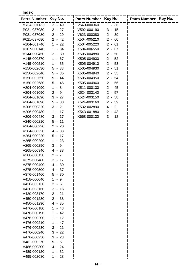**Index**

| Patrs Number Key No. |            | Patrs Number Key No. |          | Patrs Number Key No. |
|----------------------|------------|----------------------|----------|----------------------|
| M704-001460          | $2 - 49$   | V540-000360          | $1 - 36$ |                      |
| P021-037080          | $2 - 27$   | V592-000190          | $3 - 15$ |                      |
| P021-037080          | $2 - 29$   | V623-000080          | $2 - 39$ |                      |
| P021-037080          | $2 - 42$   | X504-005210          | $2 - 60$ |                      |
| V104-001740          | $1 - 22$   | X504-005220          | $2 - 61$ |                      |
| V107-000140          | $1 - 34$   | X504-006550          | $2 - 67$ |                      |
| V144-000450          | $2 - 30$   | X505-004880          | $2 - 50$ |                      |
| V145-000370          | $1 - 67$   | X505-004900          | $2 - 52$ |                      |
| V145-000510          | $1 - 35$   | X505-004910          | $2 - 53$ |                      |
| V150-002630          | $5 - 33$   | X505-004930          | $2 - 51$ |                      |
| V150-002640          | $5 - 36$   | X505-004940          | $2 - 55$ |                      |
| V150-002650          | $5 - 44$   | X505-004950          | $2 - 54$ |                      |
| V150-002680          | $5 - 45$   | X505-004960          | $2 - 56$ |                      |
| V204-001090          | $1 - 8$    | X511-000130          | $2 - 45$ |                      |
| V204-001090          | $2 - 9$    | X524-003140          | $2 - 57$ |                      |
| V204-001090          | $3 - 27$   | X524-003150          | $2 - 58$ |                      |
| V204-001090          | $5 - 38$   | X524-003160          | $2 - 59$ |                      |
| V206-000320          | $3 - 2$    | X532-002890          | $4 - 2$  |                      |
| V206-000480          | $-17$<br>1 | X543-001880          | $2 - 43$ |                      |
| V206-000480          | $3 - 17$   | X668-000130          | $3 - 12$ |                      |
| V240-000210          | $5 - 11$   |                      |          |                      |
| V264-000220          | $2 - 20$   |                      |          |                      |
| V264-000220          | $4 - 33$   |                      |          |                      |
| V264-000220          | $5 - 17$   |                      |          |                      |
| V265-000290          | $1 - 23$   |                      |          |                      |
| V265-000290          | $3 - 9$    |                      |          |                      |
| V265-000340          | $4 - 38$   |                      |          |                      |
| V266-000130          | $2 - 7$    |                      |          |                      |
| V375-000480          | $2 - 17$   |                      |          |                      |
| V375-000490          | $4 - 30$   |                      |          |                      |
| V375-000500          | $4 - 37$   |                      |          |                      |
| V376-001460          | $5 - 30$   |                      |          |                      |
| V418-000040          | $1 - 9$    |                      |          |                      |
| V420-003130          | $2 - 6$    |                      |          |                      |
| V420-003160          | $2 - 16$   |                      |          |                      |
| V420-003170          | $2 - 21$   |                      |          |                      |
| V450-001280          | $2 - 38$   |                      |          |                      |
| V450-001290          | $4 - 35$   |                      |          |                      |
| V476-000180          | $1 - 43$   |                      |          |                      |
| V476-000190          | $1 - 42$   |                      |          |                      |
| V476-000200          | $1 - 12$   |                      |          |                      |
| V476-000210          | $1 - 47$   |                      |          |                      |
| V476-000230          | $3 - 21$   |                      |          |                      |
| V476-000240          | $3 - 22$   |                      |          |                      |
| V476-000250          | $3 - 23$   |                      |          |                      |
| V481-000270          | $5 - 6$    |                      |          |                      |
| V486-000300          | $4 - 24$   |                      |          |                      |
| V489-000120          | $1 - 32$   |                      |          |                      |
| V495-002080          | $1 - 28$   |                      |          |                      |
|                      |            |                      |          |                      |